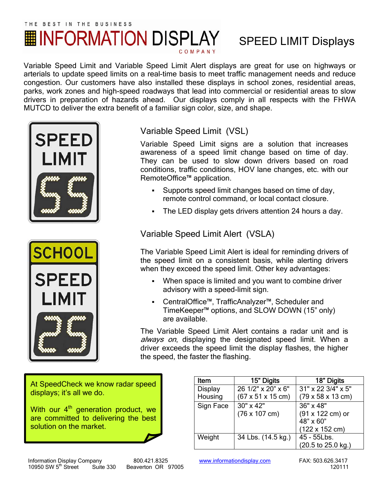## THE BEST IN THE BUSINESS **|| INFORMATION DISPLAY**

## SPEED LIMIT Displays

Variable Speed Limit and Variable Speed Limit Alert displays are great for use on highways or arterials to update speed limits on a real-time basis to meet traffic management needs and reduce congestion. Our customers have also installed these displays in school zones, residential areas, parks, work zones and high-speed roadways that lead into commercial or residential areas to slow drivers in preparation of hazards ahead. Our displays comply in all respects with the FHWA MUTCD to deliver the extra benefit of a familiar sign color, size, and shape.





Variable Speed Limit (VSL)

Variable Speed Limit signs are a solution that increases awareness of a speed limit change based on time of day. They can be used to slow down drivers based on road conditions, traffic conditions, HOV lane changes, etc. with our RemoteOffice™ application.

- Supports speed limit changes based on time of day, remote control command, or local contact closure.
- The LED display gets drivers attention 24 hours a day.

Variable Speed Limit Alert (VSLA)

The Variable Speed Limit Alert is ideal for reminding drivers of the speed limit on a consistent basis, while alerting drivers when they exceed the speed limit. Other key advantages:

- When space is limited and you want to combine driver advisory with a speed-limit sign.
- CentralOffice™, TrafficAnalyzer™, Scheduler and TimeKeeper™ options, and SLOW DOWN (15" only) are available.

The Variable Speed Limit Alert contains a radar unit and is always on, displaying the designated speed limit. When a driver exceeds the speed limit the display flashes, the higher the speed, the faster the flashing.

At SpeedCheck we know radar speed displays; it's all we do.

With our 4<sup>th</sup> generation product, we are committed to delivering the best solution on the market.

Item 15" Digits 18" Digits **Display** Housing 26 1/2" x 20" x 6" (67 x 51 x 15 cm) 31" x 22 3/4" x 5" (79 x 58 x 13 cm) Sign Face  $\sqrt{30" \times 42"$ (76 x 107 cm) 36" x 48" (91 x 122 cm) or  $48" \times 60"$ (122 x 152 cm) Weight | 34 Lbs. (14.5 kg.) | 45 - 55 Lbs. (20.5 to 25.0 kg.)